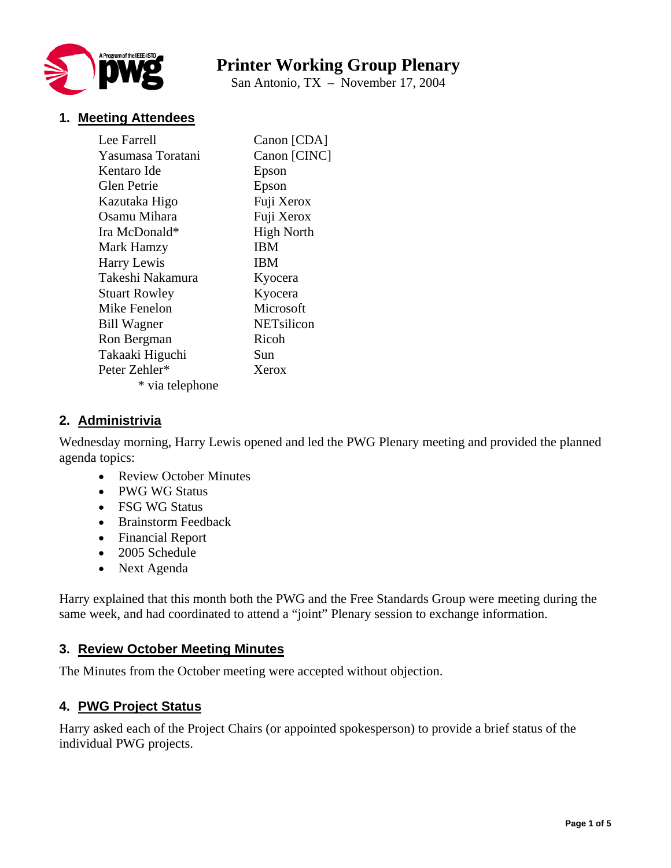

# **Printer Working Group Plenary**

San Antonio, TX – November 17, 2004

## **1. Meeting Attendees**

| Lee Farrell          | Canon [CDA]       |
|----------------------|-------------------|
| Yasumasa Toratani    | Canon [CINC]      |
| Kentaro Ide          | Epson             |
| Glen Petrie          | Epson             |
| Kazutaka Higo        | Fuji Xerox        |
| Osamu Mihara         | Fuji Xerox        |
| Ira McDonald*        | <b>High North</b> |
| Mark Hamzy           | <b>IBM</b>        |
| Harry Lewis          | <b>IBM</b>        |
| Takeshi Nakamura     | Kyocera           |
| <b>Stuart Rowley</b> | Kyocera           |
| Mike Fenelon         | Microsoft         |
| <b>Bill Wagner</b>   | NETsilicon        |
| Ron Bergman          | Ricoh             |
| Takaaki Higuchi      | Sun               |
| Peter Zehler*        | Xerox             |
| * via telephone      |                   |

## **2. Administrivia**

Wednesday morning, Harry Lewis opened and led the PWG Plenary meeting and provided the planned agenda topics:

- Review October Minutes
- PWG WG Status
- FSG WG Status
- Brainstorm Feedback
- Financial Report
- 2005 Schedule
- Next Agenda

Harry explained that this month both the PWG and the Free Standards Group were meeting during the same week, and had coordinated to attend a "joint" Plenary session to exchange information.

#### **3. Review October Meeting Minutes**

The Minutes from the October meeting were accepted without objection.

#### **4. PWG Project Status**

Harry asked each of the Project Chairs (or appointed spokesperson) to provide a brief status of the individual PWG projects.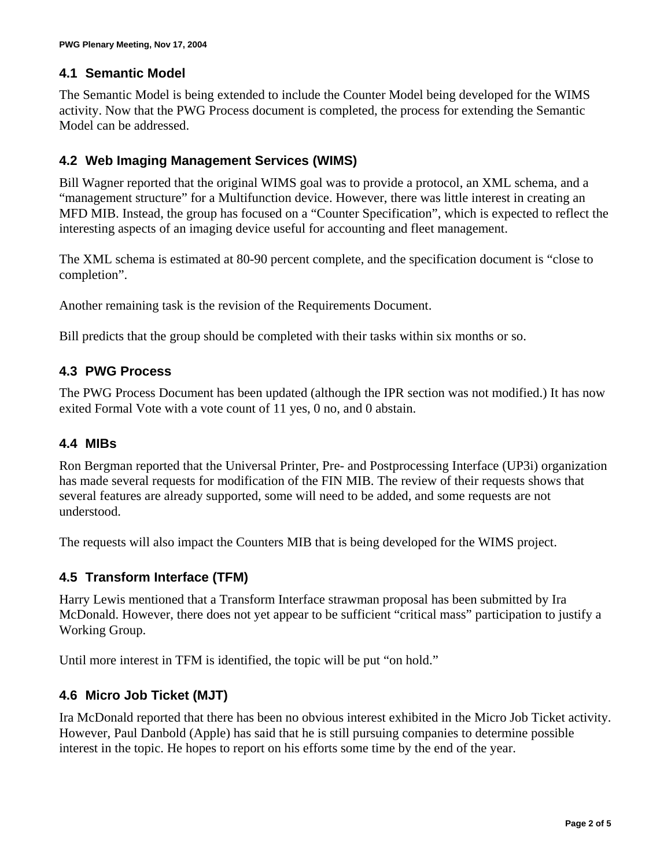## **4.1 Semantic Model**

The Semantic Model is being extended to include the Counter Model being developed for the WIMS activity. Now that the PWG Process document is completed, the process for extending the Semantic Model can be addressed.

## **4.2 Web Imaging Management Services (WIMS)**

Bill Wagner reported that the original WIMS goal was to provide a protocol, an XML schema, and a "management structure" for a Multifunction device. However, there was little interest in creating an MFD MIB. Instead, the group has focused on a "Counter Specification", which is expected to reflect the interesting aspects of an imaging device useful for accounting and fleet management.

The XML schema is estimated at 80-90 percent complete, and the specification document is "close to completion".

Another remaining task is the revision of the Requirements Document.

Bill predicts that the group should be completed with their tasks within six months or so.

## **4.3 PWG Process**

The PWG Process Document has been updated (although the IPR section was not modified.) It has now exited Formal Vote with a vote count of 11 yes, 0 no, and 0 abstain.

## **4.4 MIBs**

Ron Bergman reported that the Universal Printer, Pre- and Postprocessing Interface (UP3i) organization has made several requests for modification of the FIN MIB. The review of their requests shows that several features are already supported, some will need to be added, and some requests are not understood.

The requests will also impact the Counters MIB that is being developed for the WIMS project.

## **4.5 Transform Interface (TFM)**

Harry Lewis mentioned that a Transform Interface strawman proposal has been submitted by Ira McDonald. However, there does not yet appear to be sufficient "critical mass" participation to justify a Working Group.

Until more interest in TFM is identified, the topic will be put "on hold."

## **4.6 Micro Job Ticket (MJT)**

Ira McDonald reported that there has been no obvious interest exhibited in the Micro Job Ticket activity. However, Paul Danbold (Apple) has said that he is still pursuing companies to determine possible interest in the topic. He hopes to report on his efforts some time by the end of the year.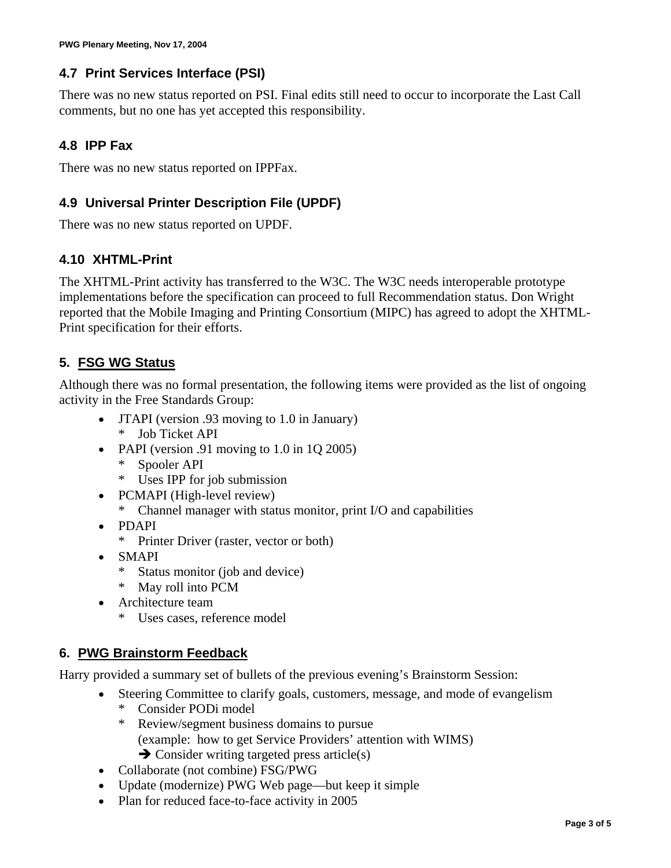## **4.7 Print Services Interface (PSI)**

There was no new status reported on PSI. Final edits still need to occur to incorporate the Last Call comments, but no one has yet accepted this responsibility.

## **4.8 IPP Fax**

There was no new status reported on IPPFax.

# **4.9 Universal Printer Description File (UPDF)**

There was no new status reported on UPDF.

## **4.10 XHTML-Print**

The XHTML-Print activity has transferred to the W3C. The W3C needs interoperable prototype implementations before the specification can proceed to full Recommendation status. Don Wright reported that the Mobile Imaging and Printing Consortium (MIPC) has agreed to adopt the XHTML-Print specification for their efforts.

# **5. FSG WG Status**

Although there was no formal presentation, the following items were provided as the list of ongoing activity in the Free Standards Group:

- JTAPI (version .93 moving to 1.0 in January) \* Job Ticket API
- PAPI (version .91 moving to 1.0 in 1Q 2005)
	- \* Spooler API
	- \* Uses IPP for job submission
- PCMAPI (High-level review)
	- \* Channel manager with status monitor, print I/O and capabilities
- PDAPI
	- \* Printer Driver (raster, vector or both)
- SMAPI
	- \* Status monitor (job and device)
	- \* May roll into PCM
- Architecture team
	- \* Uses cases, reference model

# **6. PWG Brainstorm Feedback**

Harry provided a summary set of bullets of the previous evening's Brainstorm Session:

- Steering Committee to clarify goals, customers, message, and mode of evangelism
	- \* Consider PODi model
	- \* Review/segment business domains to pursue (example: how to get Service Providers' attention with WIMS)
	- $\rightarrow$  Consider writing targeted press article(s)
- Collaborate (not combine) FSG/PWG
- Update (modernize) PWG Web page—but keep it simple
- Plan for reduced face-to-face activity in 2005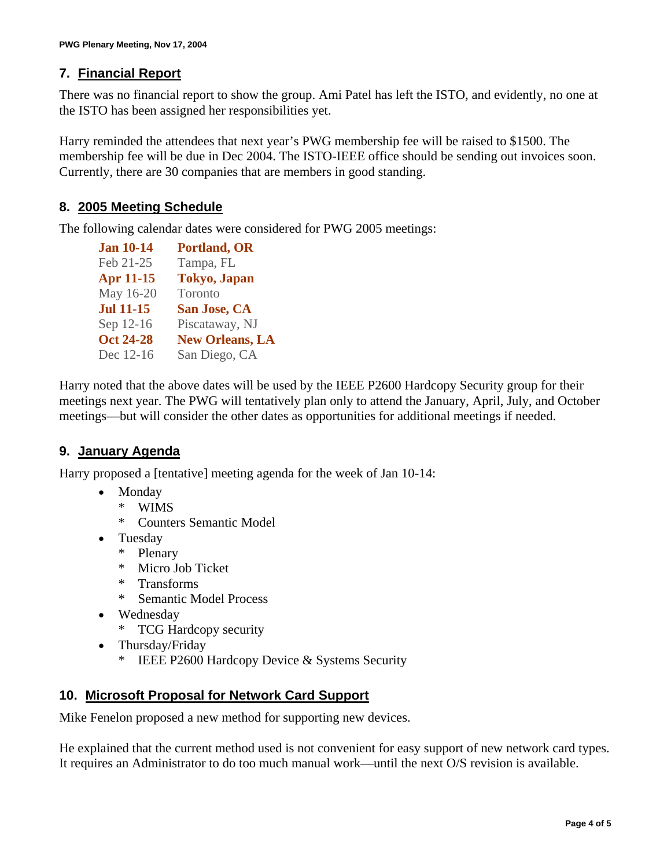## **7. Financial Report**

There was no financial report to show the group. Ami Patel has left the ISTO, and evidently, no one at the ISTO has been assigned her responsibilities yet.

Harry reminded the attendees that next year's PWG membership fee will be raised to \$1500. The membership fee will be due in Dec 2004. The ISTO-IEEE office should be sending out invoices soon. Currently, there are 30 companies that are members in good standing.

#### **8. 2005 Meeting Schedule**

The following calendar dates were considered for PWG 2005 meetings:

| <b>Jan 10-14</b> | <b>Portland, OR</b>    |
|------------------|------------------------|
| Feb 21-25        | Tampa, FL              |
| <b>Apr 11-15</b> | <b>Tokyo</b> , Japan   |
| May 16-20        | Toronto                |
| <b>Jul 11-15</b> | San Jose, CA           |
| Sep 12-16        | Piscataway, NJ         |
| <b>Oct 24-28</b> | <b>New Orleans, LA</b> |
| Dec 12-16        | San Diego, CA          |
|                  |                        |

Harry noted that the above dates will be used by the IEEE P2600 Hardcopy Security group for their meetings next year. The PWG will tentatively plan only to attend the January, April, July, and October meetings—but will consider the other dates as opportunities for additional meetings if needed.

## **9. January Agenda**

Harry proposed a [tentative] meeting agenda for the week of Jan 10-14:

- Monday
	- \* WIMS
	- \* Counters Semantic Model
- Tuesday
	- \* Plenary
	- \* Micro Job Ticket
	- \* Transforms
	- \* Semantic Model Process
- Wednesday
	- \* TCG Hardcopy security
- Thursday/Friday
	- \* IEEE P2600 Hardcopy Device & Systems Security

#### **10. Microsoft Proposal for Network Card Support**

Mike Fenelon proposed a new method for supporting new devices.

He explained that the current method used is not convenient for easy support of new network card types. It requires an Administrator to do too much manual work—until the next O/S revision is available.